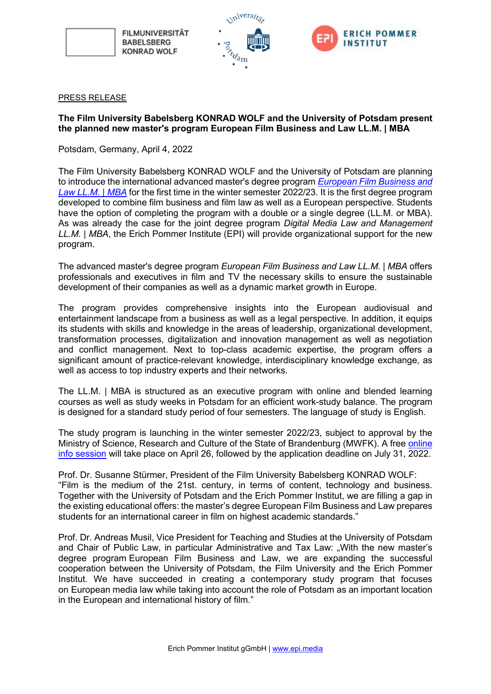

**FILMUNIVERSITÄT BABELSBERG KONRAD WOLF** 





## PRESS RELEASE

## **The Film University Babelsberg KONRAD WOLF and the University of Potsdam present the planned new master's program European Film Business and Law LL.M. | MBA**

Potsdam, Germany, April 4, 2022

The Film University Babelsberg KONRAD WOLF and the University of Potsdam are planning to introduce the international advanced master's degree program *[European Film Business and](https://www.epi.media/filmmaster/)  [Law LL.M.](https://www.epi.media/filmmaster/) | MBA* for the first time in the winter semester 2022/23. It is the first degree program developed to combine film business and film law as well as a European perspective. Students have the option of completing the program with a double or a single degree (LL.M. or MBA). As was already the case for the joint degree program *Digital Media Law and Management LL.M. | MBA*, the Erich Pommer Institute (EPI) will provide organizational support for the new program.

The advanced master's degree program *European Film Business and Law LL.M. | MBA* offers professionals and executives in film and TV the necessary skills to ensure the sustainable development of their companies as well as a dynamic market growth in Europe.

The program provides comprehensive insights into the European audiovisual and entertainment landscape from a business as well as a legal perspective. In addition, it equips its students with skills and knowledge in the areas of leadership, organizational development, transformation processes, digitalization and innovation management as well as negotiation and conflict management. Next to top-class academic expertise, the program offers a significant amount of practice-relevant knowledge, interdisciplinary knowledge exchange, as well as access to top industry experts and their networks.

The LL.M. | MBA is structured as an executive program with online and blended learning courses as well as study weeks in Potsdam for an efficient work-study balance. The program is designed for a standard study period of four semesters. The language of study is English.

The study program is launching in the winter semester 2022/23, subject to approval by the Ministry of Science, Research and Culture of the State of Brandenburg (MWFK). A free [online](https://www.epi.media/filmmaster_info/)  [info session](https://www.epi.media/filmmaster_info/) will take place on April 26, followed by the application deadline on July 31, 2022.

Prof. Dr. Susanne Stürmer, President of the Film University Babelsberg KONRAD WOLF: "Film is the medium of the 21st. century, in terms of content, technology and business. Together with the University of Potsdam and the Erich Pommer Institut, we are filling a gap in the existing educational offers: the master's degree European Film Business and Law prepares students for an international career in film on highest academic standards."

Prof. Dr. Andreas Musil, Vice President for Teaching and Studies at the University of Potsdam and Chair of Public Law, in particular Administrative and Tax Law: "With the new master's degree program European Film Business and Law, we are expanding the successful cooperation between the University of Potsdam, the Film University and the Erich Pommer Institut. We have succeeded in creating a contemporary study program that focuses on European media law while taking into account the role of Potsdam as an important location in the European and international history of film."